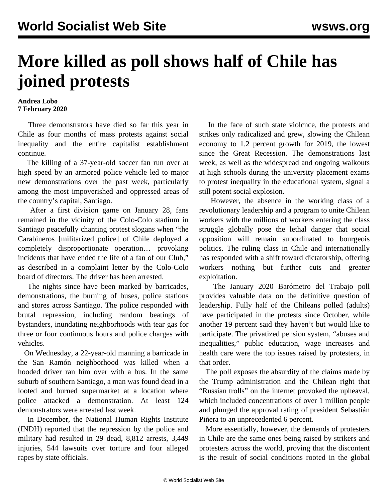## **More killed as poll shows half of Chile has joined protests**

## **Andrea Lobo 7 February 2020**

 Three demonstrators have died so far this year in Chile as four months of mass protests against social inequality and the entire capitalist establishment continue.

 The killing of a 37-year-old soccer fan run over at high speed by an armored police vehicle led to major new demonstrations over the past week, particularly among the most impoverished and oppressed areas of the country's capital, Santiago.

 After a first division game on January 28, fans remained in the vicinity of the Colo-Colo stadium in Santiago peacefully chanting protest slogans when "the Carabineros [militarized police] of Chile deployed a completely disproportionate operation… provoking incidents that have ended the life of a fan of our Club," as described in a complaint letter by the Colo-Colo board of directors. The driver has been arrested.

 The nights since have been marked by barricades, demonstrations, the burning of buses, police stations and stores across Santiago. The police responded with brutal repression, including random beatings of bystanders, inundating neighborhoods with tear gas for three or four continuous hours and police charges with vehicles.

 On Wednesday, a 22-year-old manning a barricade in the San Ramón neighborhood was killed when a hooded driver ran him over with a bus. In the same suburb of southern Santiago, a man was found dead in a looted and burned supermarket at a location where police attacked a demonstration. At least 124 demonstrators were arrested last week.

 In December, the National Human Rights Institute (INDH) reported that the repression by the police and military had resulted in 29 dead, 8,812 arrests, 3,449 injuries, 544 lawsuits over torture and four alleged rapes by state officials.

 In the face of such state violcnce, the protests and strikes only radicalized and grew, slowing the Chilean economy to 1.2 percent growth for 2019, the lowest since the Great Recession. The demonstrations last week, as well as the widespread and ongoing walkouts at high schools during the university placement exams to protest inequality in the educational system, signal a still potent social explosion.

 However, the absence in the working class of a revolutionary leadership and a program to unite Chilean workers with the millions of workers entering the class struggle globally pose the lethal danger that social opposition will remain subordinated to bourgeois politics. The ruling class in Chile and internationally has responded with a shift toward dictatorship, offering workers nothing but further cuts and greater exploitation.

 The January 2020 Barómetro del Trabajo poll provides valuable data on the definitive question of leadership. Fully half of the Chileans polled (adults) have participated in the protests since October, while another 19 percent said they haven't but would like to participate. The privatized pension system, "abuses and inequalities," public education, wage increases and health care were the top issues raised by protesters, in that order.

 The poll exposes the absurdity of the claims made by the Trump administration and the Chilean right that "Russian trolls" on the internet provoked the upheaval, which included concentrations of over 1 million people and plunged the approval rating of president Sebastián Piñera to an unprecedented 6 percent.

 More essentially, however, the demands of protesters in Chile are the same ones being raised by strikers and protesters across the world, proving that the discontent is the result of social conditions rooted in the global